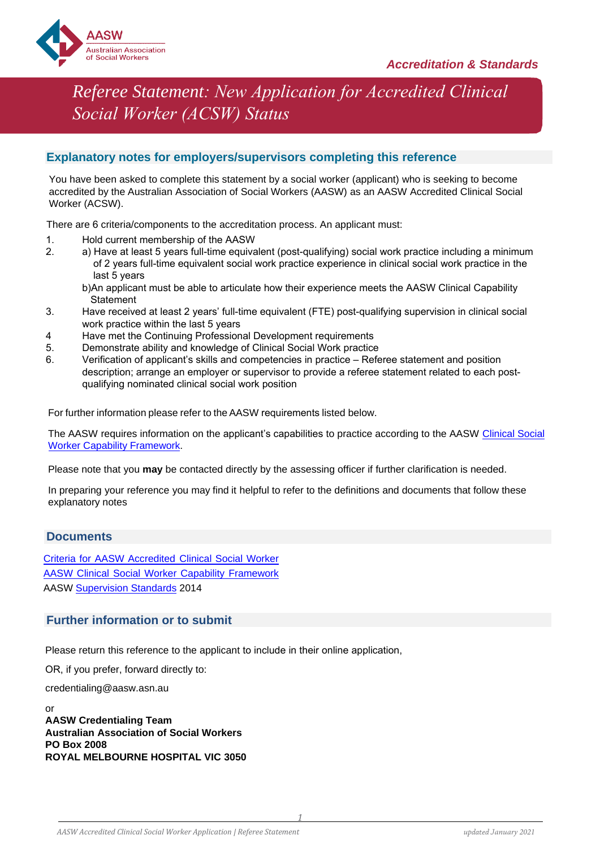

# *Referee Statement: New Application for Accredited Clinical Social Worker (ACSW) Status*

### **Explanatory notes for employers/supervisors completing this reference**

You have been asked to complete this statement by a social worker (applicant) who is seeking to become accredited by the Australian Association of Social Workers (AASW) as an AASW Accredited Clinical Social Worker (ACSW).

There are 6 criteria/components to the accreditation process. An applicant must:

- 1. Hold current membership of the AASW<br>2. a) Have at least 5 years full-time equiva
- a) Have at least 5 years full-time equivalent (post-qualifying) social work practice including a minimum of 2 years full-time equivalent social work practice experience in clinical social work practice in the last 5 years

b)An applicant must be able to articulate how their experience meets the AASW Clinical Capability **Statement** 

- 3. Have received at least 2 years' full-time equivalent (FTE) post-qualifying supervision in clinical social work practice within the last 5 years
- 4 Have met the Continuing Professional Development requirements<br>5. Demonstrate ability and knowledge of Clinical Social Work practice
- 5. Demonstrate ability and knowledge of Clinical Social Work practice<br>6. Verification of applicant's skills and competencies in practice Refe
- Verification of applicant's skills and competencies in practice Referee statement and position description; arrange an employer or supervisor to provide a referee statement related to each post qualifying nominated clinical social work position

For further information please refer to the AASW requirements listed below.

The AASW requires information on the applicant's capabilities to practice according to the AASW Clinical Social [Worker Capability Framework.](https://www.aasw.asn.au/document/item/11749) 

Please note that you **may** be contacted directly by the assessing officer if further clarification is needed.

In preparing your reference you may find it helpful to refer to the definitions and documents that follow these explanatory notes

### **Documents**

[Criteria for AASW Accredited Clinical Social Worker](https://credentials.aasw.asn.au/clinical/)  [AASW Clinical Social Worker Capability Framework](https://www.aasw.asn.au/document/item/11749)  [AASW Supervision Standards 2014](https://www.aasw.asn.au/document/item/6027) 

### **Further information or to submit**

Please return this reference to the applicant to include in their online application,

OR, if you prefer, forward directly to:

credentialing@aasw.asn.au

or **AASW Credentialing Team Australian Association of Social Workers PO Box 2008 ROYAL MELBOURNE HOSPITAL VIC 3050**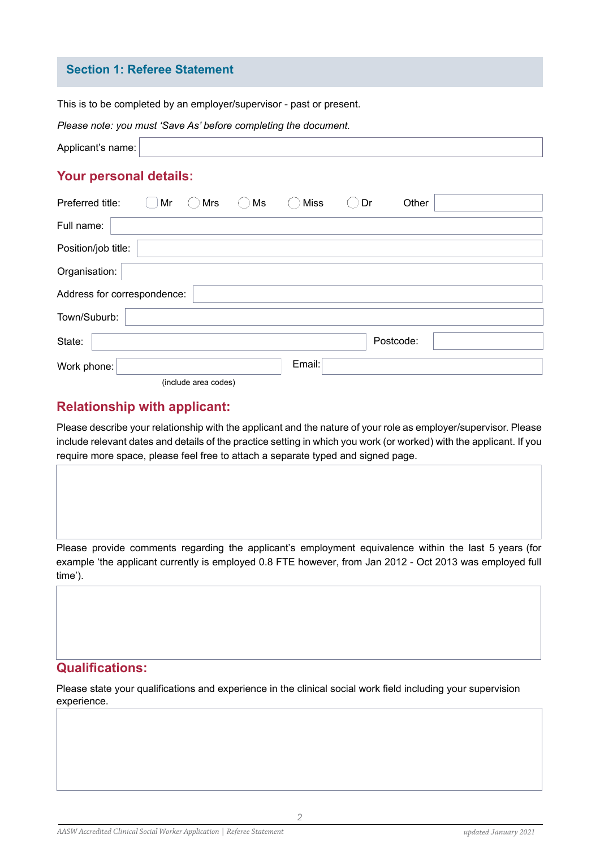### **Section 1: Referee Statement**

This is to be completed by an employer/supervisor - past or present.

|  | Please note: you must 'Save As' before completing the document. |  |  |  |
|--|-----------------------------------------------------------------|--|--|--|
|--|-----------------------------------------------------------------|--|--|--|

| Applicant's name: |  |
|-------------------|--|
|-------------------|--|

### **Your personal details:**

| Preferred title:            | Mr | Mrs                  | Ms | <b>Miss</b> | Dr | Other     |  |
|-----------------------------|----|----------------------|----|-------------|----|-----------|--|
| Full name:                  |    |                      |    |             |    |           |  |
| Position/job title:         |    |                      |    |             |    |           |  |
| Organisation:               |    |                      |    |             |    |           |  |
| Address for correspondence: |    |                      |    |             |    |           |  |
| Town/Suburb:                |    |                      |    |             |    |           |  |
| State:                      |    |                      |    |             |    | Postcode: |  |
| Work phone:                 |    |                      |    | Email:      |    |           |  |
|                             |    | (include area codes) |    |             |    |           |  |

# **Relationship with applicant:**

Please describe your relationship with the applicant and the nature of your role as employer/supervisor. Please include relevant dates and details of the practice setting in which you work (or worked) with the applicant. If you require more space, please feel free to attach a separate typed and signed page.

Please provide comments regarding the applicant's employment equivalence within the last 5 years (for example 'the applicant currently is employed 0.8 FTE however, from Jan 2012 - Oct 2013 was employed full time').

# **Qualifications:**

Please state your qualifications and experience in the clinical social work field including your supervision experience.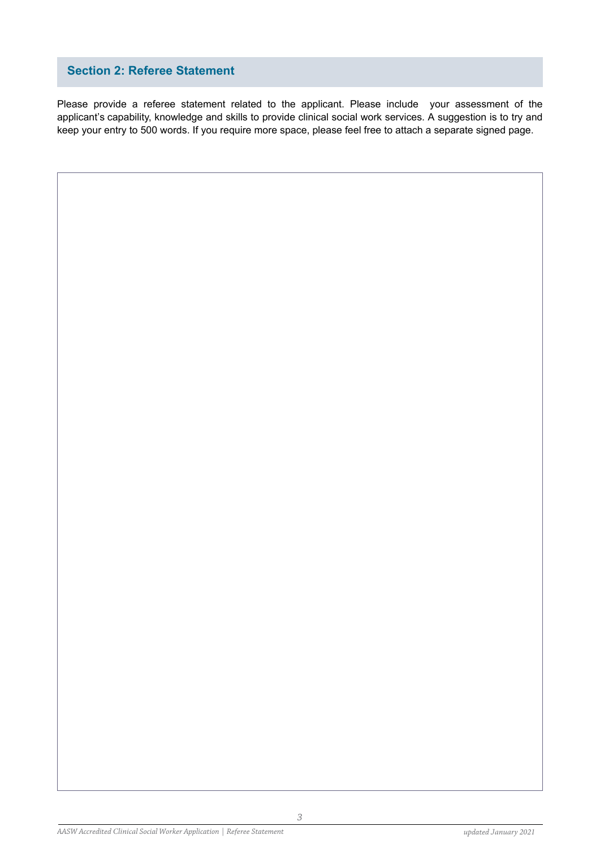# **Section 2: Referee Statement**

Please provide a referee statement related to the applicant. Please include your assessment of the applicant's capability, knowledge and skills to provide clinical social work services. A suggestion is to try and keep your entry to 500 words. If you require more space, please feel free to attach a separate signed page.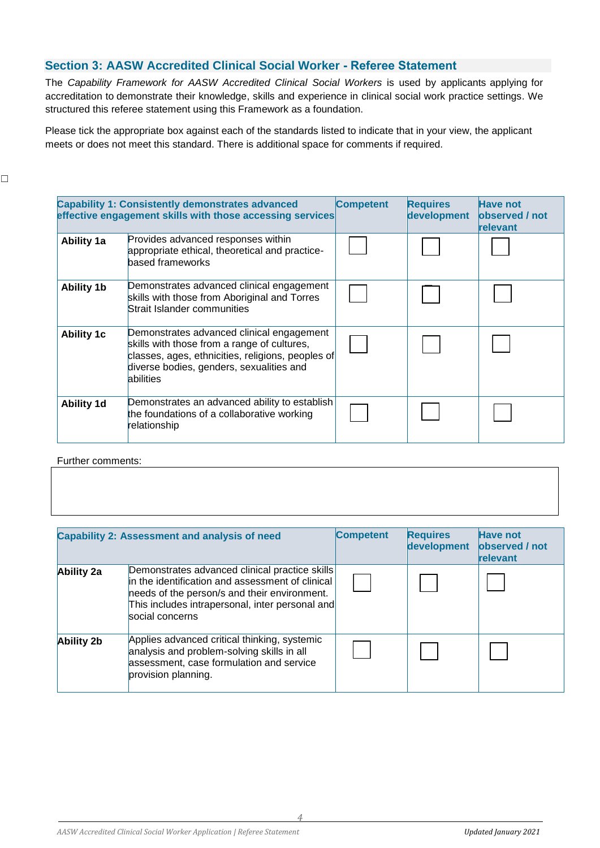# **Section 3: AASW Accredited Clinical Social Worker - Referee Statement**

The *Capability Framework for AASW Accredited Clinical Social Workers* is used by applicants applying for accreditation to demonstrate their knowledge, skills and experience in clinical social work practice settings. We structured this referee statement using this Framework as a foundation.

Please tick the appropriate box against each of the standards listed to indicate that in your view, the applicant meets or does not meet this standard. There is additional space for comments if required.

|                   | <b>Capability 1: Consistently demonstrates advanced</b><br>effective engagement skills with those accessing services                                                                                   | <b>Competent</b> | <b>Requires</b><br>development | <b>Have not</b><br><b>observed</b> / not<br>relevant |
|-------------------|--------------------------------------------------------------------------------------------------------------------------------------------------------------------------------------------------------|------------------|--------------------------------|------------------------------------------------------|
| <b>Ability 1a</b> | Provides advanced responses within<br>appropriate ethical, theoretical and practice-<br>based frameworks                                                                                               |                  |                                |                                                      |
| <b>Ability 1b</b> | Demonstrates advanced clinical engagement<br>skills with those from Aboriginal and Torres<br>Strait Islander communities                                                                               |                  |                                |                                                      |
| <b>Ability 1c</b> | Demonstrates advanced clinical engagement<br>skills with those from a range of cultures,<br>classes, ages, ethnicities, religions, peoples of<br>diverse bodies, genders, sexualities and<br>abilities |                  |                                |                                                      |
| <b>Ability 1d</b> | Demonstrates an advanced ability to establish<br>the foundations of a collaborative working<br>relationship                                                                                            |                  |                                |                                                      |

#### Further comments:

|                   | <b>Capability 2: Assessment and analysis of need</b>                                                                                                                                                                     | <b>Competent</b> | <b>Requires</b><br>development | <b>Have not</b><br>observed / not<br>relevant |
|-------------------|--------------------------------------------------------------------------------------------------------------------------------------------------------------------------------------------------------------------------|------------------|--------------------------------|-----------------------------------------------|
| <b>Ability 2a</b> | Demonstrates advanced clinical practice skills<br>in the identification and assessment of clinical<br>needs of the person/s and their environment.<br>This includes intrapersonal, inter personal and<br>social concerns |                  |                                |                                               |
| <b>Ability 2b</b> | Applies advanced critical thinking, systemic<br>analysis and problem-solving skills in all<br>assessment, case formulation and service<br>provision planning.                                                            |                  |                                |                                               |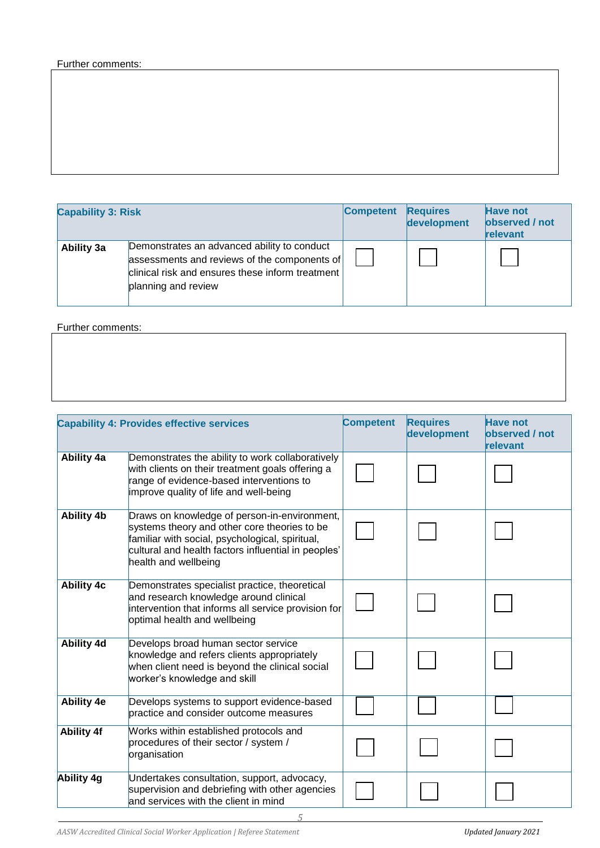### Further comments:

| <b>Capability 3: Risk</b> |                                                                                                                                                                        | <b>Competent</b> | <b>Requires</b><br>development | <b>Have not</b><br>observed / not<br>relevant |
|---------------------------|------------------------------------------------------------------------------------------------------------------------------------------------------------------------|------------------|--------------------------------|-----------------------------------------------|
| Ability 3a                | Demonstrates an advanced ability to conduct<br>assessments and reviews of the components of<br>clinical risk and ensures these inform treatment<br>planning and review |                  |                                |                                               |

Further comments:

|                   | <b>Capability 4: Provides effective services</b>                                                                                                                                                                               | <b>Competent</b> | <b>Requires</b><br>development | <b>Have not</b><br>observed / not<br>relevant |
|-------------------|--------------------------------------------------------------------------------------------------------------------------------------------------------------------------------------------------------------------------------|------------------|--------------------------------|-----------------------------------------------|
| <b>Ability 4a</b> | Demonstrates the ability to work collaboratively<br>with clients on their treatment goals offering a<br>range of evidence-based interventions to<br>improve quality of life and well-being                                     |                  |                                |                                               |
| <b>Ability 4b</b> | Draws on knowledge of person-in-environment,<br>systems theory and other core theories to be<br>familiar with social, psychological, spiritual,<br>cultural and health factors influential in peoples'<br>health and wellbeing |                  |                                |                                               |
| <b>Ability 4c</b> | Demonstrates specialist practice, theoretical<br>and research knowledge around clinical<br>intervention that informs all service provision for<br>optimal health and wellbeing                                                 |                  |                                |                                               |
| <b>Ability 4d</b> | Develops broad human sector service<br>knowledge and refers clients appropriately<br>when client need is beyond the clinical social<br>worker's knowledge and skill                                                            |                  |                                |                                               |
| <b>Ability 4e</b> | Develops systems to support evidence-based<br>practice and consider outcome measures                                                                                                                                           |                  |                                |                                               |
| <b>Ability 4f</b> | Works within established protocols and<br>procedures of their sector / system /<br>organisation                                                                                                                                |                  |                                |                                               |
| Ability 4g        | Undertakes consultation, support, advocacy,<br>supervision and debriefing with other agencies<br>and services with the client in mind                                                                                          |                  |                                |                                               |

*5*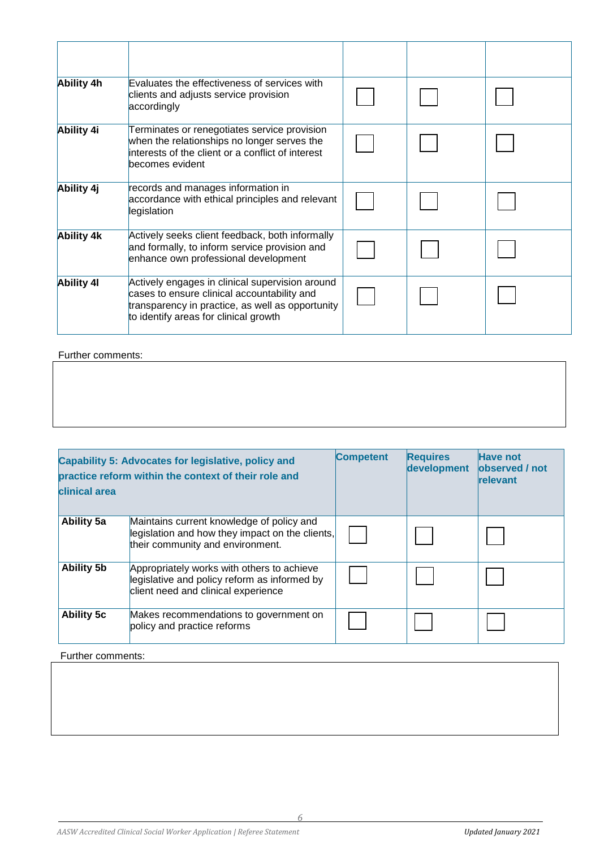| Ability 4h        | Evaluates the effectiveness of services with<br>clients and adjusts service provision<br>accordingly                                                                                        |  |  |
|-------------------|---------------------------------------------------------------------------------------------------------------------------------------------------------------------------------------------|--|--|
| Ability 4i        | Terminates or renegotiates service provision<br>when the relationships no longer serves the<br>interests of the client or a conflict of interest<br>becomes evident                         |  |  |
| Ability 4j        | records and manages information in<br>accordance with ethical principles and relevant<br>legislation                                                                                        |  |  |
| <b>Ability 4k</b> | Actively seeks client feedback, both informally<br>and formally, to inform service provision and<br>enhance own professional development                                                    |  |  |
| <b>Ability 41</b> | Actively engages in clinical supervision around<br>cases to ensure clinical accountability and<br>transparency in practice, as well as opportunity<br>to identify areas for clinical growth |  |  |

# Further comments:

| clinical area     | Capability 5: Advocates for legislative, policy and<br>practice reform within the context of their role and                       | <b>Competent</b> | <b>Requires</b><br>development | <b>Have not</b><br>observed / not<br>relevant |
|-------------------|-----------------------------------------------------------------------------------------------------------------------------------|------------------|--------------------------------|-----------------------------------------------|
| <b>Ability 5a</b> | Maintains current knowledge of policy and<br>legislation and how they impact on the clients,<br>their community and environment.  |                  |                                |                                               |
| <b>Ability 5b</b> | Appropriately works with others to achieve<br>legislative and policy reform as informed by<br>client need and clinical experience |                  |                                |                                               |
| <b>Ability 5c</b> | Makes recommendations to government on<br>policy and practice reforms                                                             |                  |                                |                                               |

### Further comments: